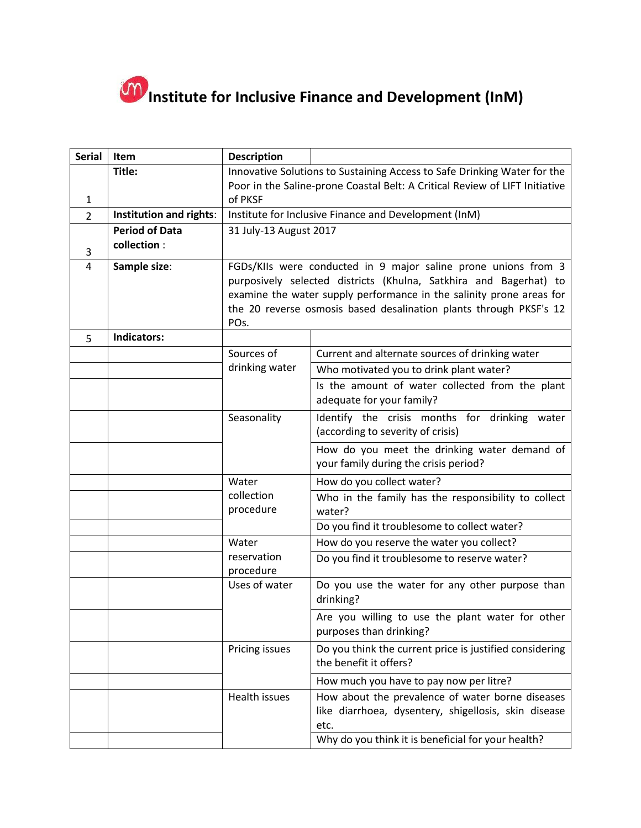

| <b>Serial</b>  | Item                    | <b>Description</b>                                                          |                                                                                   |  |
|----------------|-------------------------|-----------------------------------------------------------------------------|-----------------------------------------------------------------------------------|--|
|                | Title:                  | Innovative Solutions to Sustaining Access to Safe Drinking Water for the    |                                                                                   |  |
|                |                         | Poor in the Saline-prone Coastal Belt: A Critical Review of LIFT Initiative |                                                                                   |  |
| 1              |                         | of PKSF                                                                     |                                                                                   |  |
| $\overline{2}$ | Institution and rights: | Institute for Inclusive Finance and Development (InM)                       |                                                                                   |  |
|                | <b>Period of Data</b>   | 31 July-13 August 2017                                                      |                                                                                   |  |
| 3              | collection :            |                                                                             |                                                                                   |  |
| 4              | Sample size:            | FGDs/KIIs were conducted in 9 major saline prone unions from 3              |                                                                                   |  |
|                |                         | purposively selected districts (Khulna, Satkhira and Bagerhat) to           |                                                                                   |  |
|                |                         | examine the water supply performance in the salinity prone areas for        |                                                                                   |  |
|                |                         | the 20 reverse osmosis based desalination plants through PKSF's 12          |                                                                                   |  |
| 5              | Indicators:             | POs.                                                                        |                                                                                   |  |
|                |                         | Sources of                                                                  | Current and alternate sources of drinking water                                   |  |
|                |                         | drinking water                                                              | Who motivated you to drink plant water?                                           |  |
|                |                         |                                                                             | Is the amount of water collected from the plant                                   |  |
|                |                         |                                                                             | adequate for your family?                                                         |  |
|                |                         | Seasonality                                                                 | Identify the crisis months for drinking water                                     |  |
|                |                         |                                                                             | (according to severity of crisis)                                                 |  |
|                |                         |                                                                             | How do you meet the drinking water demand of                                      |  |
|                |                         |                                                                             | your family during the crisis period?                                             |  |
|                |                         | Water                                                                       | How do you collect water?                                                         |  |
|                |                         | collection                                                                  | Who in the family has the responsibility to collect                               |  |
|                |                         | procedure                                                                   | water?                                                                            |  |
|                |                         |                                                                             | Do you find it troublesome to collect water?                                      |  |
|                |                         | Water<br>reservation                                                        | How do you reserve the water you collect?                                         |  |
|                |                         | procedure                                                                   | Do you find it troublesome to reserve water?                                      |  |
|                |                         | Uses of water                                                               | Do you use the water for any other purpose than<br>drinking?                      |  |
|                |                         |                                                                             | Are you willing to use the plant water for other<br>purposes than drinking?       |  |
|                |                         | Pricing issues                                                              | Do you think the current price is justified considering<br>the benefit it offers? |  |
|                |                         |                                                                             | How much you have to pay now per litre?                                           |  |
|                |                         | <b>Health issues</b>                                                        | How about the prevalence of water borne diseases                                  |  |
|                |                         |                                                                             | like diarrhoea, dysentery, shigellosis, skin disease                              |  |
|                |                         |                                                                             | etc.                                                                              |  |
|                |                         |                                                                             | Why do you think it is beneficial for your health?                                |  |